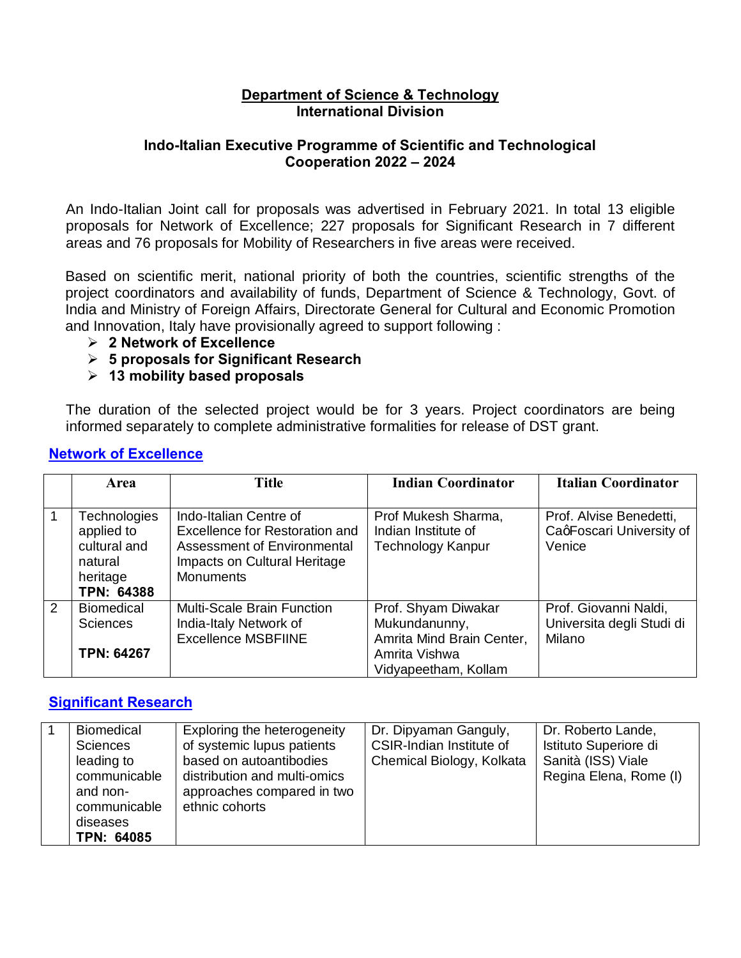#### **Department of Science & Technology International Division**

### **Indo-Italian Executive Programme of Scientific and Technological Cooperation 2022 – 2024**

An Indo-Italian Joint call for proposals was advertised in February 2021. In total 13 eligible proposals for Network of Excellence; 227 proposals for Significant Research in 7 different areas and 76 proposals for Mobility of Researchers in five areas were received.

Based on scientific merit, national priority of both the countries, scientific strengths of the project coordinators and availability of funds, Department of Science & Technology, Govt. of India and Ministry of Foreign Affairs, Directorate General for Cultural and Economic Promotion and Innovation, Italy have provisionally agreed to support following :

- ÿ **2 Network of Excellence**
- ÿ **5 proposals for Significant Research**
- ÿ **13 mobility based proposals**

The duration of the selected project would be for 3 years. Project coordinators are being informed separately to complete administrative formalities for release of DST grant.

|   | Area                                                                                   | <b>Title</b>                                                                                                                                | <b>Indian Coordinator</b>                                                                                  | <b>Italian Coordinator</b>                                    |
|---|----------------------------------------------------------------------------------------|---------------------------------------------------------------------------------------------------------------------------------------------|------------------------------------------------------------------------------------------------------------|---------------------------------------------------------------|
|   | <b>Technologies</b><br>applied to<br>cultural and<br>natural<br>heritage<br>TPN: 64388 | Indo-Italian Centre of<br>Excellence for Restoration and<br>Assessment of Environmental<br>Impacts on Cultural Heritage<br><b>Monuments</b> | Prof Mukesh Sharma,<br>Indian Institute of<br><b>Technology Kanpur</b>                                     | Prof. Alvise Benedetti,<br>CaqFoscari University of<br>Venice |
| 2 | <b>Biomedical</b><br><b>Sciences</b><br><b>TPN: 64267</b>                              | <b>Multi-Scale Brain Function</b><br>India-Italy Network of<br><b>Excellence MSBFIINE</b>                                                   | Prof. Shyam Diwakar<br>Mukundanunny,<br>Amrita Mind Brain Center,<br>Amrita Vishwa<br>Vidyapeetham, Kollam | Prof. Giovanni Naldi,<br>Universita degli Studi di<br>Milano  |

### **Network of Excellence**

## **Significant Research**

|  | Biomedical<br><b>Sciences</b><br>leading to<br>communicable<br>and non-<br>communicable<br>diseases<br>TPN: 64085 | Exploring the heterogeneity<br>of systemic lupus patients<br>based on autoantibodies<br>distribution and multi-omics<br>approaches compared in two<br>ethnic cohorts | Dr. Dipyaman Ganguly,<br>CSIR-Indian Institute of<br>Chemical Biology, Kolkata | Dr. Roberto Lande,<br>Istituto Superiore di<br>Sanità (ISS) Viale<br>Regina Elena, Rome (I) |
|--|-------------------------------------------------------------------------------------------------------------------|----------------------------------------------------------------------------------------------------------------------------------------------------------------------|--------------------------------------------------------------------------------|---------------------------------------------------------------------------------------------|
|--|-------------------------------------------------------------------------------------------------------------------|----------------------------------------------------------------------------------------------------------------------------------------------------------------------|--------------------------------------------------------------------------------|---------------------------------------------------------------------------------------------|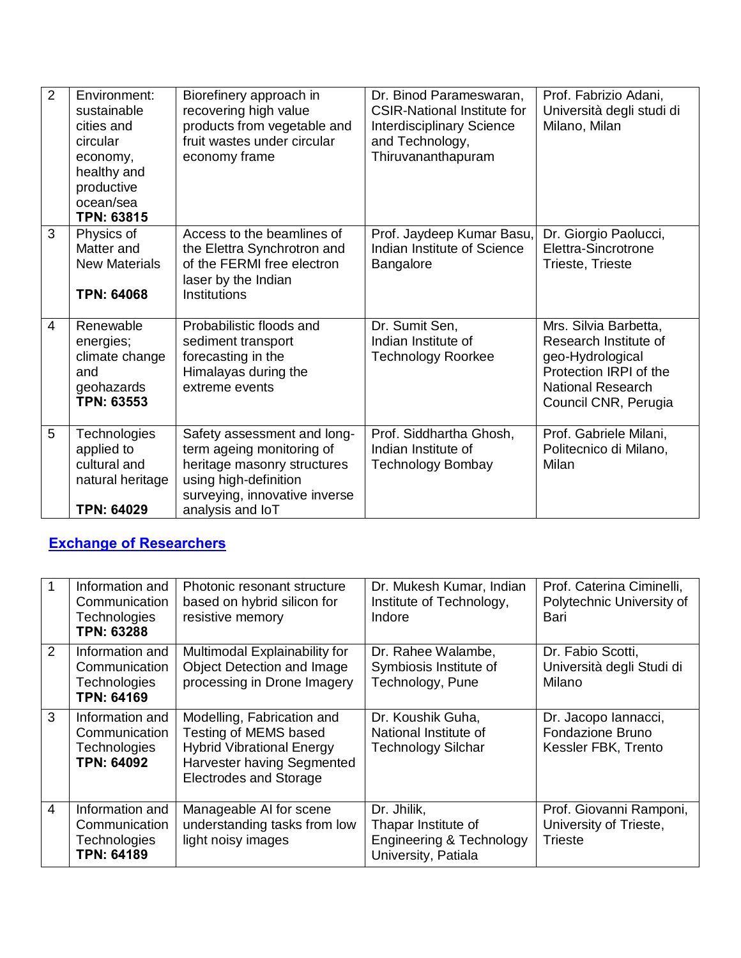| $\overline{2}$ | Environment:<br>sustainable<br>cities and<br>circular<br>economy,<br>healthy and<br>productive<br>ocean/sea<br><b>TPN: 63815</b> | Biorefinery approach in<br>recovering high value<br>products from vegetable and<br>fruit wastes under circular<br>economy frame                                       | Dr. Binod Parameswaran,<br><b>CSIR-National Institute for</b><br><b>Interdisciplinary Science</b><br>and Technology,<br>Thiruvananthapuram | Prof. Fabrizio Adani,<br>Università degli studi di<br>Milano, Milan                                                                              |
|----------------|----------------------------------------------------------------------------------------------------------------------------------|-----------------------------------------------------------------------------------------------------------------------------------------------------------------------|--------------------------------------------------------------------------------------------------------------------------------------------|--------------------------------------------------------------------------------------------------------------------------------------------------|
| 3              | Physics of<br>Matter and<br><b>New Materials</b><br><b>TPN: 64068</b>                                                            | Access to the beamlines of<br>the Elettra Synchrotron and<br>of the FERMI free electron<br>laser by the Indian<br>Institutions                                        | Prof. Jaydeep Kumar Basu,<br>Indian Institute of Science<br><b>Bangalore</b>                                                               | Dr. Giorgio Paolucci,<br>Elettra-Sincrotrone<br>Trieste, Trieste                                                                                 |
| 4              | Renewable<br>energies;<br>climate change<br>and<br>geohazards<br><b>TPN: 63553</b>                                               | Probabilistic floods and<br>sediment transport<br>forecasting in the<br>Himalayas during the<br>extreme events                                                        | Dr. Sumit Sen,<br>Indian Institute of<br><b>Technology Roorkee</b>                                                                         | Mrs. Silvia Barbetta,<br>Research Institute of<br>geo-Hydrological<br>Protection IRPI of the<br><b>National Research</b><br>Council CNR, Perugia |
| 5              | Technologies<br>applied to<br>cultural and<br>natural heritage<br><b>TPN: 64029</b>                                              | Safety assessment and long-<br>term ageing monitoring of<br>heritage masonry structures<br>using high-definition<br>surveying, innovative inverse<br>analysis and loT | Prof. Siddhartha Ghosh,<br>Indian Institute of<br><b>Technology Bombay</b>                                                                 | Prof. Gabriele Milani,<br>Politecnico di Milano,<br>Milan                                                                                        |

# **Exchange of Researchers**

|   | Information and<br>Communication<br><b>Technologies</b><br><b>TPN: 63288</b> | Photonic resonant structure<br>based on hybrid silicon for<br>resistive memory                                                                         | Dr. Mukesh Kumar, Indian<br>Institute of Technology,<br>Indore                                   | Prof. Caterina Ciminelli,<br>Polytechnic University of<br>Bari      |
|---|------------------------------------------------------------------------------|--------------------------------------------------------------------------------------------------------------------------------------------------------|--------------------------------------------------------------------------------------------------|---------------------------------------------------------------------|
| 2 | Information and<br>Communication<br>Technologies<br><b>TPN: 64169</b>        | Multimodal Explainability for<br><b>Object Detection and Image</b><br>processing in Drone Imagery                                                      | Dr. Rahee Walambe,<br>Symbiosis Institute of<br>Technology, Pune                                 | Dr. Fabio Scotti,<br>Università degli Studi di<br>Milano            |
| 3 | Information and<br>Communication<br><b>Technologies</b><br><b>TPN: 64092</b> | Modelling, Fabrication and<br>Testing of MEMS based<br><b>Hybrid Vibrational Energy</b><br>Harvester having Segmented<br><b>Electrodes and Storage</b> | Dr. Koushik Guha,<br>National Institute of<br><b>Technology Silchar</b>                          | Dr. Jacopo lannacci,<br>Fondazione Bruno<br>Kessler FBK, Trento     |
| 4 | Information and<br>Communication<br>Technologies<br><b>TPN: 64189</b>        | Manageable AI for scene<br>understanding tasks from low<br>light noisy images                                                                          | Dr. Jhilik,<br>Thapar Institute of<br><b>Engineering &amp; Technology</b><br>University, Patiala | Prof. Giovanni Ramponi,<br>University of Trieste,<br><b>Trieste</b> |